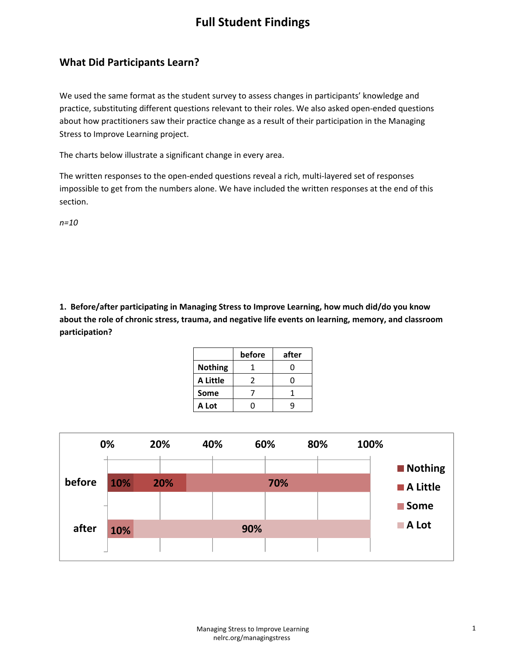## **Full Student Findings**

## **What Did Participants Learn?**

We used the same format as the student survey to assess changes in participants' knowledge and practice, substituting different questions relevant to their roles. We also asked open‐ended questions about how practitioners saw their practice change as a result of their participation in the Managing Stress to Improve Learning project.

The charts below illustrate a significant change in every area.

The written responses to the open-ended questions reveal a rich, multi-layered set of responses impossible to get from the numbers alone. We have included the written responses at the end of this section.

*n=10*

**1. Before/after participating in Managing Stress to Improve Learning, how much did/do you know about the role of chronic stress, trauma, and negative life events on learning, memory, and classroom participation?**

|                 | before | after |
|-----------------|--------|-------|
| <b>Nothing</b>  |        | 0     |
| <b>A Little</b> |        | n     |
| Some            |        |       |
| A Lot           |        |       |